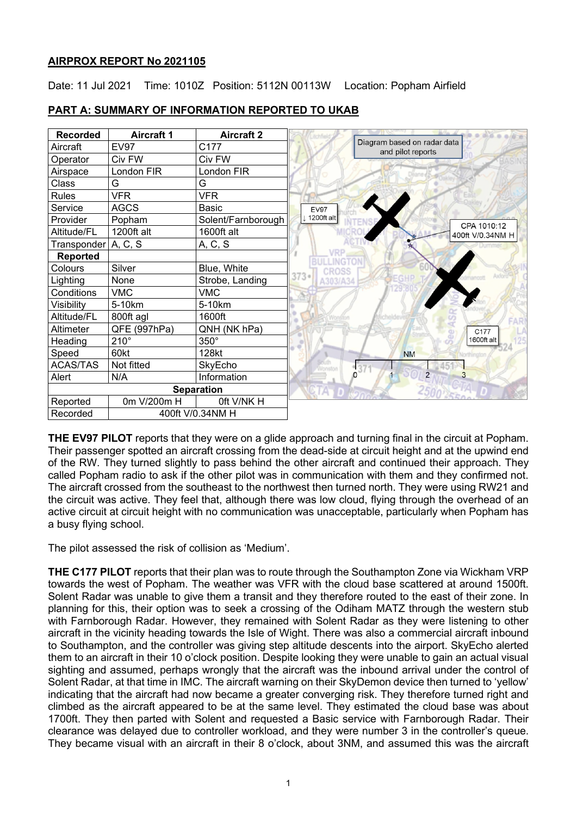# **AIRPROX REPORT No 2021105**

Date: 11 Jul 2021 Time: 1010Z Position: 5112N 00113W Location: Popham Airfield



# **PART A: SUMMARY OF INFORMATION REPORTED TO UKAB**

**THE EV97 PILOT** reports that they were on a glide approach and turning final in the circuit at Popham. Their passenger spotted an aircraft crossing from the dead-side at circuit height and at the upwind end of the RW. They turned slightly to pass behind the other aircraft and continued their approach. They called Popham radio to ask if the other pilot was in communication with them and they confirmed not. The aircraft crossed from the southeast to the northwest then turned north. They were using RW21 and the circuit was active. They feel that, although there was low cloud, flying through the overhead of an active circuit at circuit height with no communication was unacceptable, particularly when Popham has a busy flying school.

The pilot assessed the risk of collision as 'Medium'.

**THE C177 PILOT** reports that their plan was to route through the Southampton Zone via Wickham VRP towards the west of Popham. The weather was VFR with the cloud base scattered at around 1500ft. Solent Radar was unable to give them a transit and they therefore routed to the east of their zone. In planning for this, their option was to seek a crossing of the Odiham MATZ through the western stub with Farnborough Radar. However, they remained with Solent Radar as they were listening to other aircraft in the vicinity heading towards the Isle of Wight. There was also a commercial aircraft inbound to Southampton, and the controller was giving step altitude descents into the airport. SkyEcho alerted them to an aircraft in their 10 o'clock position. Despite looking they were unable to gain an actual visual sighting and assumed, perhaps wrongly that the aircraft was the inbound arrival under the control of Solent Radar, at that time in IMC. The aircraft warning on their SkyDemon device then turned to 'yellow' indicating that the aircraft had now became a greater converging risk. They therefore turned right and climbed as the aircraft appeared to be at the same level. They estimated the cloud base was about 1700ft. They then parted with Solent and requested a Basic service with Farnborough Radar. Their clearance was delayed due to controller workload, and they were number 3 in the controller's queue. They became visual with an aircraft in their 8 o'clock, about 3NM, and assumed this was the aircraft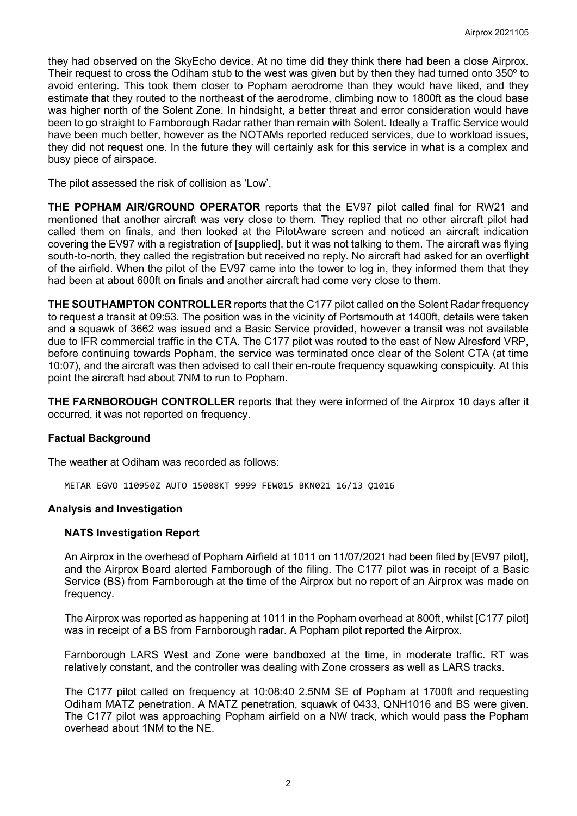they had observed on the SkyEcho device. At no time did they think there had been a close Airprox. Their request to cross the Odiham stub to the west was given but by then they had turned onto 350º to avoid entering. This took them closer to Popham aerodrome than they would have liked, and they estimate that they routed to the northeast of the aerodrome, climbing now to 1800ft as the cloud base was higher north of the Solent Zone. In hindsight, a better threat and error consideration would have been to go straight to Farnborough Radar rather than remain with Solent. Ideally a Traffic Service would have been much better, however as the NOTAMs reported reduced services, due to workload issues, they did not request one. In the future they will certainly ask for this service in what is a complex and busy piece of airspace.

The pilot assessed the risk of collision as 'Low'.

**THE POPHAM AIR/GROUND OPERATOR** reports that the EV97 pilot called final for RW21 and mentioned that another aircraft was very close to them. They replied that no other aircraft pilot had called them on finals, and then looked at the PilotAware screen and noticed an aircraft indication covering the EV97 with a registration of [supplied], but it was not talking to them. The aircraft was flying south-to-north, they called the registration but received no reply. No aircraft had asked for an overflight of the airfield. When the pilot of the EV97 came into the tower to log in, they informed them that they had been at about 600ft on finals and another aircraft had come very close to them.

**THE SOUTHAMPTON CONTROLLER** reports that the C177 pilot called on the Solent Radar frequency to request a transit at 09:53. The position was in the vicinity of Portsmouth at 1400ft, details were taken and a squawk of 3662 was issued and a Basic Service provided, however a transit was not available due to IFR commercial traffic in the CTA. The C177 pilot was routed to the east of New Alresford VRP, before continuing towards Popham, the service was terminated once clear of the Solent CTA (at time 10:07), and the aircraft was then advised to call their en-route frequency squawking conspicuity. At this point the aircraft had about 7NM to run to Popham.

**THE FARNBOROUGH CONTROLLER** reports that they were informed of the Airprox 10 days after it occurred, it was not reported on frequency.

# **Factual Background**

The weather at Odiham was recorded as follows:

METAR EGVO 110950Z AUTO 15008KT 9999 FEW015 BKN021 16/13 Q1016

# **Analysis and Investigation**

# **NATS Investigation Report**

An Airprox in the overhead of Popham Airfield at 1011 on 11/07/2021 had been filed by [EV97 pilot], and the Airprox Board alerted Farnborough of the filing. The C177 pilot was in receipt of a Basic Service (BS) from Farnborough at the time of the Airprox but no report of an Airprox was made on frequency.

The Airprox was reported as happening at 1011 in the Popham overhead at 800ft, whilst [C177 pilot] was in receipt of a BS from Farnborough radar. A Popham pilot reported the Airprox.

Farnborough LARS West and Zone were bandboxed at the time, in moderate traffic. RT was relatively constant, and the controller was dealing with Zone crossers as well as LARS tracks.

The C177 pilot called on frequency at 10:08:40 2.5NM SE of Popham at 1700ft and requesting Odiham MATZ penetration. A MATZ penetration, squawk of 0433, QNH1016 and BS were given. The C177 pilot was approaching Popham airfield on a NW track, which would pass the Popham overhead about 1NM to the NE.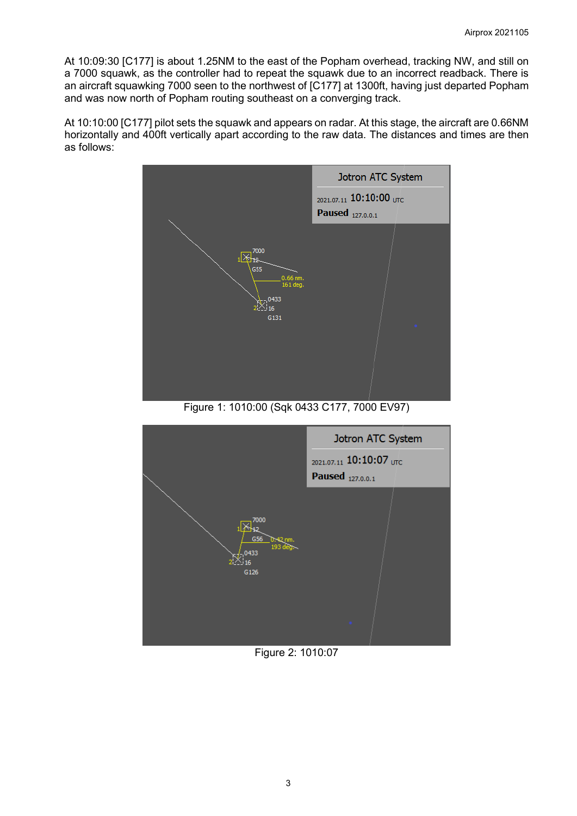At 10:09:30 [C177] is about 1.25NM to the east of the Popham overhead, tracking NW, and still on a 7000 squawk, as the controller had to repeat the squawk due to an incorrect readback. There is an aircraft squawking 7000 seen to the northwest of [C177] at 1300ft, having just departed Popham and was now north of Popham routing southeast on a converging track.

At 10:10:00 [C177] pilot sets the squawk and appears on radar. At this stage, the aircraft are 0.66NM horizontally and 400ft vertically apart according to the raw data. The distances and times are then as follows:



Figure 1: 1010:00 (Sqk 0433 C177, 7000 EV97)



Figure 2: 1010:07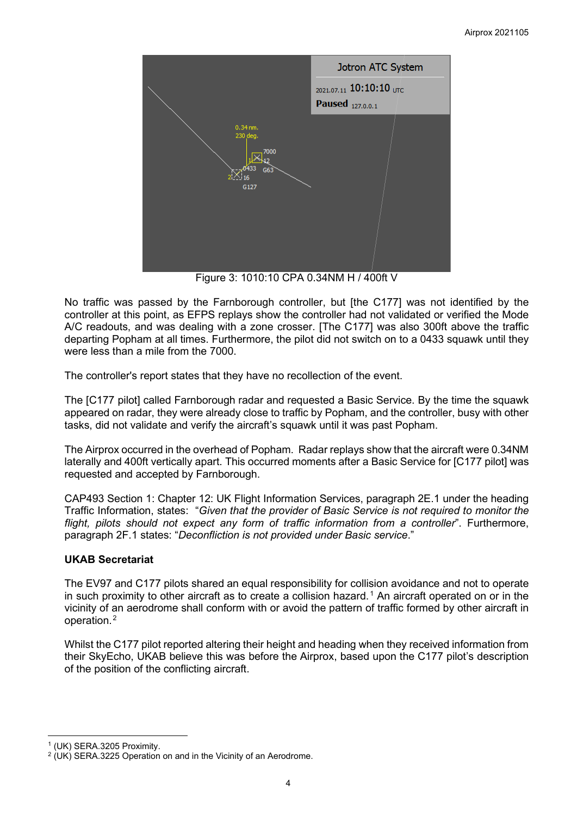

Figure 3: 1010:10 CPA 0.34NM H / 400ft V

No traffic was passed by the Farnborough controller, but [the C177] was not identified by the controller at this point, as EFPS replays show the controller had not validated or verified the Mode A/C readouts, and was dealing with a zone crosser. [The C177] was also 300ft above the traffic departing Popham at all times. Furthermore, the pilot did not switch on to a 0433 squawk until they were less than a mile from the 7000.

The controller's report states that they have no recollection of the event.

The [C177 pilot] called Farnborough radar and requested a Basic Service. By the time the squawk appeared on radar, they were already close to traffic by Popham, and the controller, busy with other tasks, did not validate and verify the aircraft's squawk until it was past Popham.

The Airprox occurred in the overhead of Popham. Radar replays show that the aircraft were 0.34NM laterally and 400ft vertically apart. This occurred moments after a Basic Service for [C177 pilot] was requested and accepted by Farnborough.

CAP493 Section 1: Chapter 12: UK Flight Information Services, paragraph 2E.1 under the heading Traffic Information, states: "*Given that the provider of Basic Service is not required to monitor the flight, pilots should not expect any form of traffic information from a controller*". Furthermore, paragraph 2F.1 states: "*Deconfliction is not provided under Basic service*."

# **UKAB Secretariat**

The EV97 and C177 pilots shared an equal responsibility for collision avoidance and not to operate in such proximity to other aircraft as to create a collision hazard.<sup>[1](#page-3-0)</sup> An aircraft operated on or in the vicinity of an aerodrome shall conform with or avoid the pattern of traffic formed by other aircraft in operation.[2](#page-3-1)

Whilst the C177 pilot reported altering their height and heading when they received information from their SkyEcho, UKAB believe this was before the Airprox, based upon the C177 pilot's description of the position of the conflicting aircraft.

<span id="page-3-0"></span><sup>1</sup> (UK) SERA.3205 Proximity.

<span id="page-3-1"></span><sup>2</sup> (UK) SERA.3225 Operation on and in the Vicinity of an Aerodrome.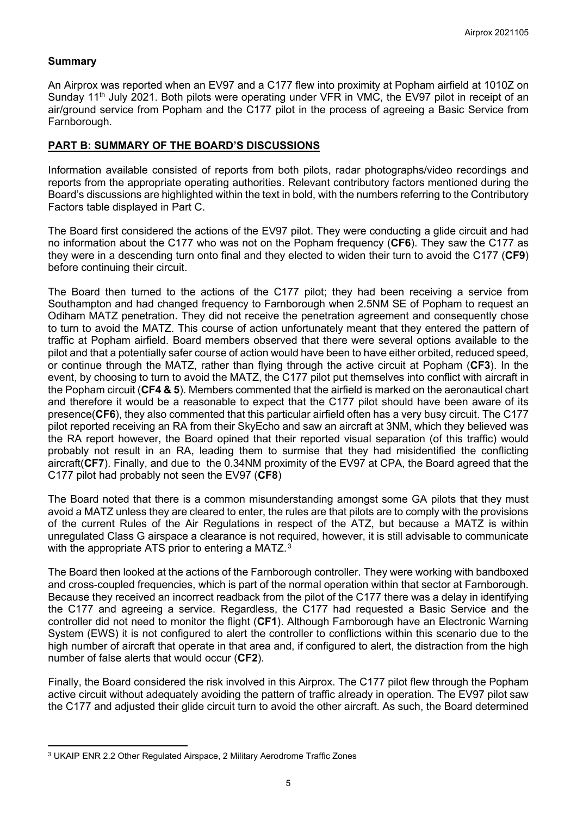# **Summary**

An Airprox was reported when an EV97 and a C177 flew into proximity at Popham airfield at 1010Z on Sunday 11<sup>th</sup> July 2021. Both pilots were operating under VFR in VMC, the EV97 pilot in receipt of an air/ground service from Popham and the C177 pilot in the process of agreeing a Basic Service from Farnborough.

# **PART B: SUMMARY OF THE BOARD'S DISCUSSIONS**

Information available consisted of reports from both pilots, radar photographs/video recordings and reports from the appropriate operating authorities. Relevant contributory factors mentioned during the Board's discussions are highlighted within the text in bold, with the numbers referring to the Contributory Factors table displayed in Part C.

The Board first considered the actions of the EV97 pilot. They were conducting a glide circuit and had no information about the C177 who was not on the Popham frequency (**CF6**). They saw the C177 as they were in a descending turn onto final and they elected to widen their turn to avoid the C177 (**CF9**) before continuing their circuit.

The Board then turned to the actions of the C177 pilot; they had been receiving a service from Southampton and had changed frequency to Farnborough when 2.5NM SE of Popham to request an Odiham MATZ penetration. They did not receive the penetration agreement and consequently chose to turn to avoid the MATZ. This course of action unfortunately meant that they entered the pattern of traffic at Popham airfield. Board members observed that there were several options available to the pilot and that a potentially safer course of action would have been to have either orbited, reduced speed, or continue through the MATZ, rather than flying through the active circuit at Popham (**CF3**). In the event, by choosing to turn to avoid the MATZ, the C177 pilot put themselves into conflict with aircraft in the Popham circuit (**CF4 & 5**). Members commented that the airfield is marked on the aeronautical chart and therefore it would be a reasonable to expect that the C177 pilot should have been aware of its presence(**CF6**), they also commented that this particular airfield often has a very busy circuit. The C177 pilot reported receiving an RA from their SkyEcho and saw an aircraft at 3NM, which they believed was the RA report however, the Board opined that their reported visual separation (of this traffic) would probably not result in an RA, leading them to surmise that they had misidentified the conflicting aircraft(**CF7**). Finally, and due to the 0.34NM proximity of the EV97 at CPA, the Board agreed that the C177 pilot had probably not seen the EV97 (**CF8**)

The Board noted that there is a common misunderstanding amongst some GA pilots that they must avoid a MATZ unless they are cleared to enter, the rules are that pilots are to comply with the provisions of the current Rules of the Air Regulations in respect of the ATZ, but because a MATZ is within unregulated Class G airspace a clearance is not required, however, it is still advisable to communicate with the appropriate ATS prior to entering a MATZ.<sup>[3](#page-4-0)</sup>

The Board then looked at the actions of the Farnborough controller. They were working with bandboxed and cross-coupled frequencies, which is part of the normal operation within that sector at Farnborough. Because they received an incorrect readback from the pilot of the C177 there was a delay in identifying the C177 and agreeing a service. Regardless, the C177 had requested a Basic Service and the controller did not need to monitor the flight (**CF1**). Although Farnborough have an Electronic Warning System (EWS) it is not configured to alert the controller to conflictions within this scenario due to the high number of aircraft that operate in that area and, if configured to alert, the distraction from the high number of false alerts that would occur (**CF2**).

Finally, the Board considered the risk involved in this Airprox. The C177 pilot flew through the Popham active circuit without adequately avoiding the pattern of traffic already in operation. The EV97 pilot saw the C177 and adjusted their glide circuit turn to avoid the other aircraft. As such, the Board determined

<span id="page-4-0"></span><sup>3</sup> UKAIP ENR 2.2 Other Regulated Airspace, 2 Military Aerodrome Traffic Zones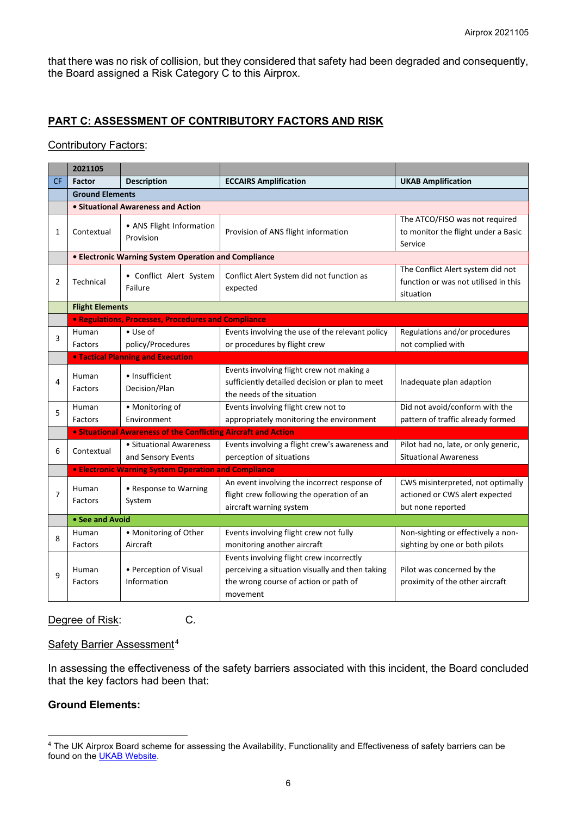that there was no risk of collision, but they considered that safety had been degraded and consequently, the Board assigned a Risk Category C to this Airprox.

# **PART C: ASSESSMENT OF CONTRIBUTORY FACTORS AND RISK**

#### Contributory Factors:

|           | 2021105                                                               |                                                     |                                                                                                                                                  |                                                                                          |  |
|-----------|-----------------------------------------------------------------------|-----------------------------------------------------|--------------------------------------------------------------------------------------------------------------------------------------------------|------------------------------------------------------------------------------------------|--|
| <b>CF</b> | <b>Factor</b>                                                         | <b>Description</b>                                  | <b>ECCAIRS Amplification</b>                                                                                                                     | <b>UKAB Amplification</b>                                                                |  |
|           | <b>Ground Elements</b>                                                |                                                     |                                                                                                                                                  |                                                                                          |  |
|           | • Situational Awareness and Action                                    |                                                     |                                                                                                                                                  |                                                                                          |  |
| 1         | Contextual                                                            | • ANS Flight Information<br>Provision               | Provision of ANS flight information                                                                                                              | The ATCO/FISO was not required<br>to monitor the flight under a Basic<br>Service         |  |
|           | • Electronic Warning System Operation and Compliance                  |                                                     |                                                                                                                                                  |                                                                                          |  |
| 2         | Technical                                                             | • Conflict Alert System<br>Failure                  | Conflict Alert System did not function as<br>expected                                                                                            | The Conflict Alert system did not<br>function or was not utilised in this<br>situation   |  |
|           | <b>Flight Elements</b>                                                |                                                     |                                                                                                                                                  |                                                                                          |  |
|           |                                                                       | • Regulations, Processes, Procedures and Compliance |                                                                                                                                                  |                                                                                          |  |
| 3         | Human<br>Factors                                                      | $\bullet$ Use of<br>policy/Procedures               | Events involving the use of the relevant policy<br>or procedures by flight crew                                                                  | Regulations and/or procedures<br>not complied with                                       |  |
|           | <b>. Tactical Planning and Execution</b>                              |                                                     |                                                                                                                                                  |                                                                                          |  |
| 4         | Human<br>Factors                                                      | • Insufficient<br>Decision/Plan                     | Events involving flight crew not making a<br>sufficiently detailed decision or plan to meet<br>the needs of the situation                        | Inadequate plan adaption                                                                 |  |
| 5         | Human<br>Factors                                                      | · Monitoring of<br>Environment                      | Events involving flight crew not to<br>appropriately monitoring the environment                                                                  | Did not avoid/conform with the<br>pattern of traffic already formed                      |  |
|           | <b>• Situational Awareness of the Conflicting Aircraft and Action</b> |                                                     |                                                                                                                                                  |                                                                                          |  |
| 6         | Contextual                                                            | • Situational Awareness<br>and Sensory Events       | Events involving a flight crew's awareness and<br>perception of situations                                                                       | Pilot had no, late, or only generic,<br><b>Situational Awareness</b>                     |  |
|           | <b>• Electronic Warning System Operation and Compliance</b>           |                                                     |                                                                                                                                                  |                                                                                          |  |
| 7         | Human<br>Factors                                                      | • Response to Warning<br>System                     | An event involving the incorrect response of<br>flight crew following the operation of an<br>aircraft warning system                             | CWS misinterpreted, not optimally<br>actioned or CWS alert expected<br>but none reported |  |
|           |                                                                       | • See and Avoid                                     |                                                                                                                                                  |                                                                                          |  |
| 8         | Human<br>Factors                                                      | • Monitoring of Other<br>Aircraft                   | Events involving flight crew not fully<br>monitoring another aircraft                                                                            | Non-sighting or effectively a non-<br>sighting by one or both pilots                     |  |
| 9         | Human<br>Factors                                                      | • Perception of Visual<br>Information               | Events involving flight crew incorrectly<br>perceiving a situation visually and then taking<br>the wrong course of action or path of<br>movement | Pilot was concerned by the<br>proximity of the other aircraft                            |  |

#### Degree of Risk: C.

#### Safety Barrier Assessment<sup>[4](#page-5-0)</sup>

In assessing the effectiveness of the safety barriers associated with this incident, the Board concluded that the key factors had been that:

# **Ground Elements:**

<span id="page-5-0"></span><sup>&</sup>lt;sup>4</sup> The UK Airprox Board scheme for assessing the Availability, Functionality and Effectiveness of safety barriers can be found on the **UKAB Website**.